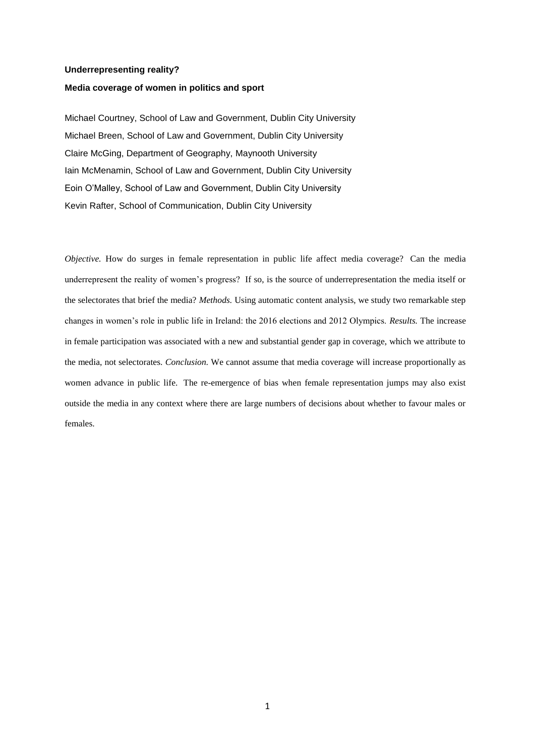#### **Underrepresenting reality?**

### **Media coverage of women in politics and sport**

Michael Courtney, School of Law and Government, Dublin City University Michael Breen, School of Law and Government, Dublin City University Claire McGing, Department of Geography, Maynooth University Iain McMenamin, School of Law and Government, Dublin City University Eoin O'Malley, School of Law and Government, Dublin City University Kevin Rafter, School of Communication, Dublin City University

*Objective.* How do surges in female representation in public life affect media coverage? Can the media underrepresent the reality of women's progress? If so, is the source of underrepresentation the media itself or the selectorates that brief the media? *Methods.* Using automatic content analysis, we study two remarkable step changes in women's role in public life in Ireland: the 2016 elections and 2012 Olympics. *Results.* The increase in female participation was associated with a new and substantial gender gap in coverage, which we attribute to the media, not selectorates. *Conclusion.* We cannot assume that media coverage will increase proportionally as women advance in public life. The re-emergence of bias when female representation jumps may also exist outside the media in any context where there are large numbers of decisions about whether to favour males or females.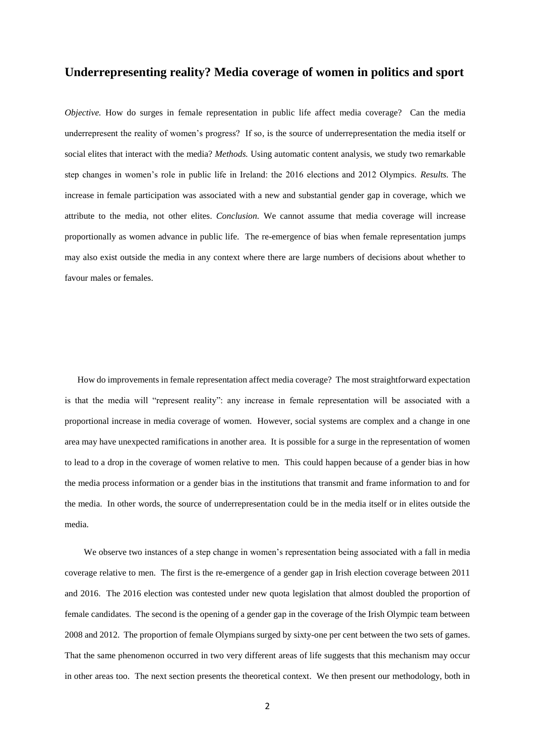# **Underrepresenting reality? Media coverage of women in politics and sport**

*Objective*. How do surges in female representation in public life affect media coverage? Can the media underrepresent the reality of women's progress? If so, is the source of underrepresentation the media itself or social elites that interact with the media? *Methods.* Using automatic content analysis, we study two remarkable step changes in women's role in public life in Ireland: the 2016 elections and 2012 Olympics. *Results.* The increase in female participation was associated with a new and substantial gender gap in coverage, which we attribute to the media, not other elites. *Conclusion.* We cannot assume that media coverage will increase proportionally as women advance in public life. The re-emergence of bias when female representation jumps may also exist outside the media in any context where there are large numbers of decisions about whether to favour males or females.

How do improvements in female representation affect media coverage? The most straightforward expectation is that the media will "represent reality": any increase in female representation will be associated with a proportional increase in media coverage of women. However, social systems are complex and a change in one area may have unexpected ramifications in another area. It is possible for a surge in the representation of women to lead to a drop in the coverage of women relative to men. This could happen because of a gender bias in how the media process information or a gender bias in the institutions that transmit and frame information to and for the media. In other words, the source of underrepresentation could be in the media itself or in elites outside the media.

We observe two instances of a step change in women's representation being associated with a fall in media coverage relative to men. The first is the re-emergence of a gender gap in Irish election coverage between 2011 and 2016. The 2016 election was contested under new quota legislation that almost doubled the proportion of female candidates. The second is the opening of a gender gap in the coverage of the Irish Olympic team between 2008 and 2012. The proportion of female Olympians surged by sixty-one per cent between the two sets of games. That the same phenomenon occurred in two very different areas of life suggests that this mechanism may occur in other areas too. The next section presents the theoretical context. We then present our methodology, both in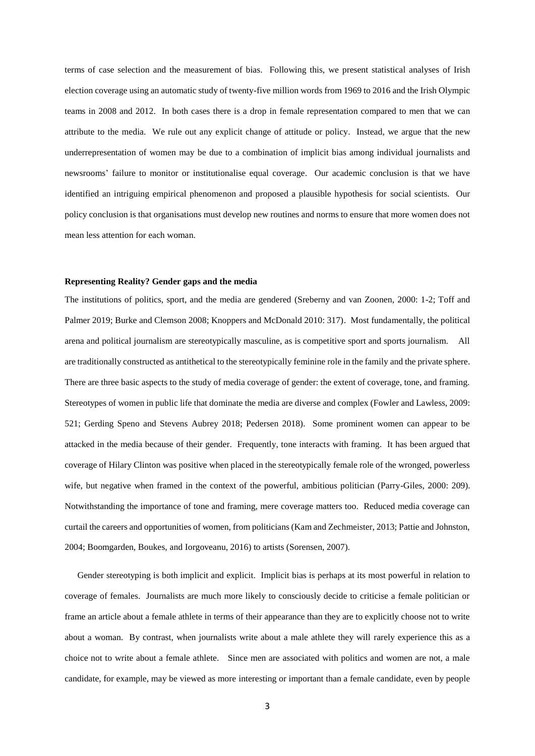terms of case selection and the measurement of bias. Following this, we present statistical analyses of Irish election coverage using an automatic study of twenty-five million words from 1969 to 2016 and the Irish Olympic teams in 2008 and 2012. In both cases there is a drop in female representation compared to men that we can attribute to the media. We rule out any explicit change of attitude or policy. Instead, we argue that the new underrepresentation of women may be due to a combination of implicit bias among individual journalists and newsrooms' failure to monitor or institutionalise equal coverage. Our academic conclusion is that we have identified an intriguing empirical phenomenon and proposed a plausible hypothesis for social scientists. Our policy conclusion is that organisations must develop new routines and norms to ensure that more women does not mean less attention for each woman.

### **Representing Reality? Gender gaps and the media**

The institutions of politics, sport, and the media are gendered (Sreberny and van Zoonen, 2000: 1-2; Toff and Palmer 2019; Burke and Clemson 2008; Knoppers and McDonald 2010: 317). Most fundamentally, the political arena and political journalism are stereotypically masculine, as is competitive sport and sports journalism. All are traditionally constructed as antithetical to the stereotypically feminine role in the family and the private sphere. There are three basic aspects to the study of media coverage of gender: the extent of coverage, tone, and framing. Stereotypes of women in public life that dominate the media are diverse and complex (Fowler and Lawless, 2009: 521; Gerding Speno and Stevens Aubrey 2018; Pedersen 2018). Some prominent women can appear to be attacked in the media because of their gender. Frequently, tone interacts with framing. It has been argued that coverage of Hilary Clinton was positive when placed in the stereotypically female role of the wronged, powerless wife, but negative when framed in the context of the powerful, ambitious politician (Parry-Giles, 2000: 209). Notwithstanding the importance of tone and framing, mere coverage matters too. Reduced media coverage can curtail the careers and opportunities of women, from politicians (Kam and Zechmeister, 2013; Pattie and Johnston, 2004; Boomgarden, Boukes, and Iorgoveanu, 2016) to artists (Sorensen, 2007).

Gender stereotyping is both implicit and explicit. Implicit bias is perhaps at its most powerful in relation to coverage of females. Journalists are much more likely to consciously decide to criticise a female politician or frame an article about a female athlete in terms of their appearance than they are to explicitly choose not to write about a woman. By contrast, when journalists write about a male athlete they will rarely experience this as a choice not to write about a female athlete. Since men are associated with politics and women are not, a male candidate, for example, may be viewed as more interesting or important than a female candidate, even by people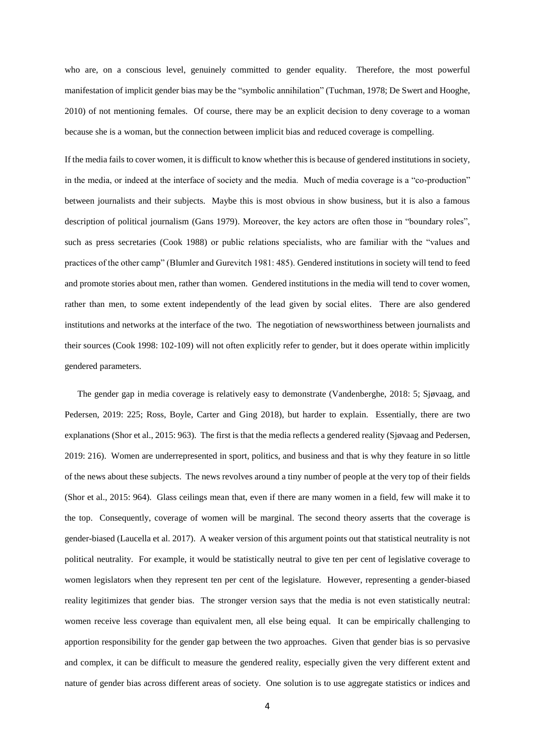who are, on a conscious level, genuinely committed to gender equality. Therefore, the most powerful manifestation of implicit gender bias may be the "symbolic annihilation" (Tuchman, 1978; De Swert and Hooghe, 2010) of not mentioning females. Of course, there may be an explicit decision to deny coverage to a woman because she is a woman, but the connection between implicit bias and reduced coverage is compelling.

If the media fails to cover women, it is difficult to know whether this is because of gendered institutions in society, in the media, or indeed at the interface of society and the media. Much of media coverage is a "co-production" between journalists and their subjects. Maybe this is most obvious in show business, but it is also a famous description of political journalism (Gans 1979). Moreover, the key actors are often those in "boundary roles", such as press secretaries (Cook 1988) or public relations specialists, who are familiar with the "values and practices of the other camp" (Blumler and Gurevitch 1981: 485). Gendered institutions in society will tend to feed and promote stories about men, rather than women. Gendered institutions in the media will tend to cover women, rather than men, to some extent independently of the lead given by social elites. There are also gendered institutions and networks at the interface of the two. The negotiation of newsworthiness between journalists and their sources (Cook 1998: 102-109) will not often explicitly refer to gender, but it does operate within implicitly gendered parameters.

The gender gap in media coverage is relatively easy to demonstrate (Vandenberghe, 2018: 5; Sjøvaag, and Pedersen, 2019: 225; Ross, Boyle, Carter and Ging 2018), but harder to explain. Essentially, there are two explanations (Shor et al., 2015: 963). The first is that the media reflects a gendered reality (Sjøvaag and Pedersen, 2019: 216). Women are underrepresented in sport, politics, and business and that is why they feature in so little of the news about these subjects. The news revolves around a tiny number of people at the very top of their fields (Shor et al., 2015: 964). Glass ceilings mean that, even if there are many women in a field, few will make it to the top. Consequently, coverage of women will be marginal. The second theory asserts that the coverage is gender-biased (Laucella et al. 2017). A weaker version of this argument points out that statistical neutrality is not political neutrality. For example, it would be statistically neutral to give ten per cent of legislative coverage to women legislators when they represent ten per cent of the legislature. However, representing a gender-biased reality legitimizes that gender bias. The stronger version says that the media is not even statistically neutral: women receive less coverage than equivalent men, all else being equal. It can be empirically challenging to apportion responsibility for the gender gap between the two approaches. Given that gender bias is so pervasive and complex, it can be difficult to measure the gendered reality, especially given the very different extent and nature of gender bias across different areas of society. One solution is to use aggregate statistics or indices and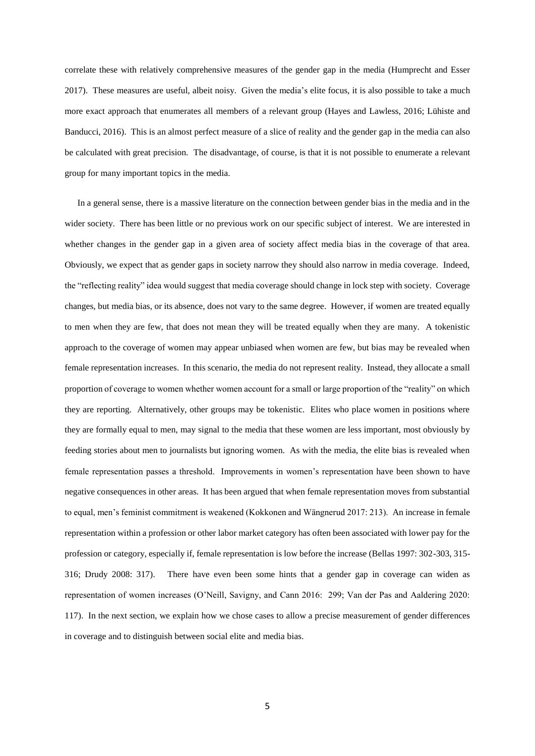correlate these with relatively comprehensive measures of the gender gap in the media (Humprecht and Esser 2017). These measures are useful, albeit noisy. Given the media's elite focus, it is also possible to take a much more exact approach that enumerates all members of a relevant group (Hayes and Lawless, 2016; Lühiste and Banducci, 2016). This is an almost perfect measure of a slice of reality and the gender gap in the media can also be calculated with great precision. The disadvantage, of course, is that it is not possible to enumerate a relevant group for many important topics in the media.

In a general sense, there is a massive literature on the connection between gender bias in the media and in the wider society. There has been little or no previous work on our specific subject of interest. We are interested in whether changes in the gender gap in a given area of society affect media bias in the coverage of that area. Obviously, we expect that as gender gaps in society narrow they should also narrow in media coverage. Indeed, the "reflecting reality" idea would suggest that media coverage should change in lock step with society. Coverage changes, but media bias, or its absence, does not vary to the same degree. However, if women are treated equally to men when they are few, that does not mean they will be treated equally when they are many. A tokenistic approach to the coverage of women may appear unbiased when women are few, but bias may be revealed when female representation increases. In this scenario, the media do not represent reality. Instead, they allocate a small proportion of coverage to women whether women account for a small or large proportion of the "reality" on which they are reporting. Alternatively, other groups may be tokenistic. Elites who place women in positions where they are formally equal to men, may signal to the media that these women are less important, most obviously by feeding stories about men to journalists but ignoring women. As with the media, the elite bias is revealed when female representation passes a threshold. Improvements in women's representation have been shown to have negative consequences in other areas. It has been argued that when female representation moves from substantial to equal, men's feminist commitment is weakened (Kokkonen and Wängnerud 2017: 213). An increase in female representation within a profession or other labor market category has often been associated with lower pay for the profession or category, especially if, female representation is low before the increase (Bellas 1997: 302-303, 315- 316; Drudy 2008: 317). There have even been some hints that a gender gap in coverage can widen as representation of women increases (O'Neill, Savigny, and Cann 2016: 299; Van der Pas and Aaldering 2020: 117). In the next section, we explain how we chose cases to allow a precise measurement of gender differences in coverage and to distinguish between social elite and media bias.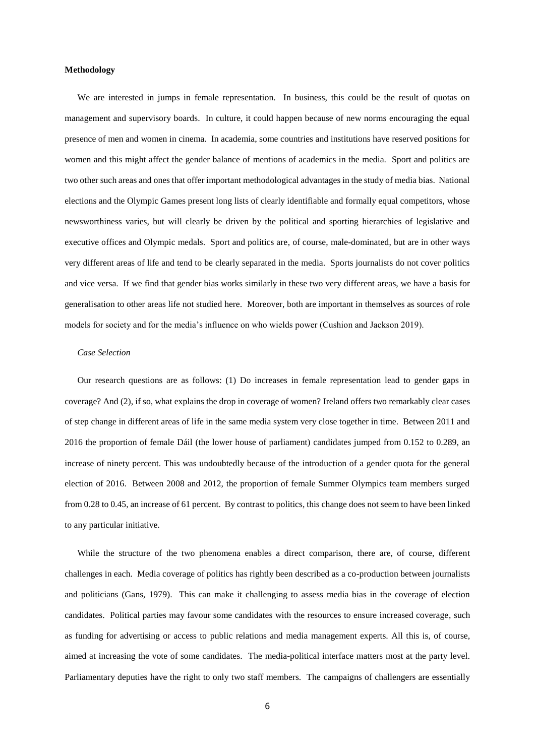#### **Methodology**

We are interested in jumps in female representation. In business, this could be the result of quotas on management and supervisory boards. In culture, it could happen because of new norms encouraging the equal presence of men and women in cinema. In academia, some countries and institutions have reserved positions for women and this might affect the gender balance of mentions of academics in the media. Sport and politics are two other such areas and ones that offer important methodological advantages in the study of media bias. National elections and the Olympic Games present long lists of clearly identifiable and formally equal competitors, whose newsworthiness varies, but will clearly be driven by the political and sporting hierarchies of legislative and executive offices and Olympic medals. Sport and politics are, of course, male-dominated, but are in other ways very different areas of life and tend to be clearly separated in the media. Sports journalists do not cover politics and vice versa. If we find that gender bias works similarly in these two very different areas, we have a basis for generalisation to other areas life not studied here. Moreover, both are important in themselves as sources of role models for society and for the media's influence on who wields power (Cushion and Jackson 2019).

#### *Case Selection*

Our research questions are as follows: (1) Do increases in female representation lead to gender gaps in coverage? And (2), if so, what explains the drop in coverage of women? Ireland offers two remarkably clear cases of step change in different areas of life in the same media system very close together in time. Between 2011 and 2016 the proportion of female Dáil (the lower house of parliament) candidates jumped from 0.152 to 0.289, an increase of ninety percent. This was undoubtedly because of the introduction of a gender quota for the general election of 2016. Between 2008 and 2012, the proportion of female Summer Olympics team members surged from 0.28 to 0.45, an increase of 61 percent. By contrast to politics, this change does not seem to have been linked to any particular initiative.

While the structure of the two phenomena enables a direct comparison, there are, of course, different challenges in each. Media coverage of politics has rightly been described as a co-production between journalists and politicians (Gans, 1979). This can make it challenging to assess media bias in the coverage of election candidates. Political parties may favour some candidates with the resources to ensure increased coverage, such as funding for advertising or access to public relations and media management experts. All this is, of course, aimed at increasing the vote of some candidates. The media-political interface matters most at the party level. Parliamentary deputies have the right to only two staff members. The campaigns of challengers are essentially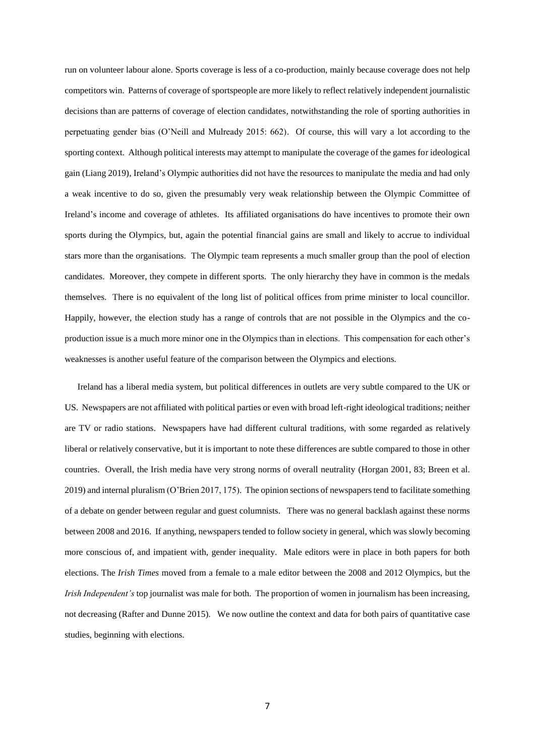run on volunteer labour alone. Sports coverage is less of a co-production, mainly because coverage does not help competitors win. Patterns of coverage of sportspeople are more likely to reflect relatively independent journalistic decisions than are patterns of coverage of election candidates, notwithstanding the role of sporting authorities in perpetuating gender bias (O'Neill and Mulready 2015: 662). Of course, this will vary a lot according to the sporting context. Although political interests may attempt to manipulate the coverage of the games for ideological gain (Liang 2019), Ireland's Olympic authorities did not have the resources to manipulate the media and had only a weak incentive to do so, given the presumably very weak relationship between the Olympic Committee of Ireland's income and coverage of athletes. Its affiliated organisations do have incentives to promote their own sports during the Olympics, but, again the potential financial gains are small and likely to accrue to individual stars more than the organisations. The Olympic team represents a much smaller group than the pool of election candidates. Moreover, they compete in different sports. The only hierarchy they have in common is the medals themselves. There is no equivalent of the long list of political offices from prime minister to local councillor. Happily, however, the election study has a range of controls that are not possible in the Olympics and the coproduction issue is a much more minor one in the Olympics than in elections. This compensation for each other's weaknesses is another useful feature of the comparison between the Olympics and elections.

Ireland has a liberal media system, but political differences in outlets are very subtle compared to the UK or US. Newspapers are not affiliated with political parties or even with broad left-right ideological traditions; neither are TV or radio stations. Newspapers have had different cultural traditions, with some regarded as relatively liberal or relatively conservative, but it is important to note these differences are subtle compared to those in other countries. Overall, the Irish media have very strong norms of overall neutrality (Horgan 2001, 83; Breen et al. 2019) and internal pluralism (O'Brien 2017, 175). The opinion sections of newspapers tend to facilitate something of a debate on gender between regular and guest columnists. There was no general backlash against these norms between 2008 and 2016. If anything, newspapers tended to follow society in general, which was slowly becoming more conscious of, and impatient with, gender inequality. Male editors were in place in both papers for both elections. The *Irish Times* moved from a female to a male editor between the 2008 and 2012 Olympics, but the *Irish Independent's* top journalist was male for both. The proportion of women in journalism has been increasing, not decreasing (Rafter and Dunne 2015). We now outline the context and data for both pairs of quantitative case studies, beginning with elections.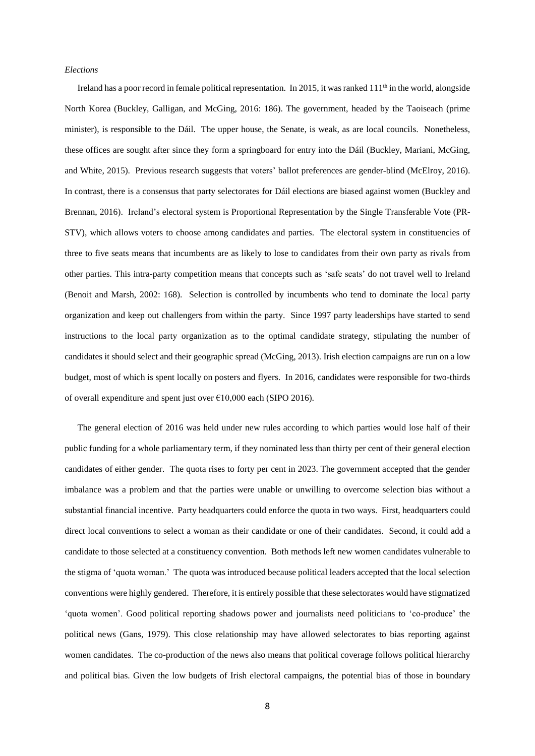#### *Elections*

Ireland has a poor record in female political representation. In 2015, it was ranked  $111<sup>th</sup>$  in the world, alongside North Korea (Buckley, Galligan, and McGing, 2016: 186). The government, headed by the Taoiseach (prime minister), is responsible to the Dáil. The upper house, the Senate, is weak, as are local councils. Nonetheless, these offices are sought after since they form a springboard for entry into the Dáil (Buckley, Mariani, McGing, and White, 2015). Previous research suggests that voters' ballot preferences are gender-blind (McElroy, 2016). In contrast, there is a consensus that party selectorates for Dáil elections are biased against women (Buckley and Brennan, 2016). Ireland's electoral system is Proportional Representation by the Single Transferable Vote (PR-STV), which allows voters to choose among candidates and parties. The electoral system in constituencies of three to five seats means that incumbents are as likely to lose to candidates from their own party as rivals from other parties. This intra-party competition means that concepts such as 'safe seats' do not travel well to Ireland (Benoit and Marsh, 2002: 168). Selection is controlled by incumbents who tend to dominate the local party organization and keep out challengers from within the party. Since 1997 party leaderships have started to send instructions to the local party organization as to the optimal candidate strategy, stipulating the number of candidates it should select and their geographic spread (McGing, 2013). Irish election campaigns are run on a low budget, most of which is spent locally on posters and flyers. In 2016, candidates were responsible for two-thirds of overall expenditure and spent just over €10,000 each (SIPO 2016).

The general election of 2016 was held under new rules according to which parties would lose half of their public funding for a whole parliamentary term, if they nominated less than thirty per cent of their general election candidates of either gender. The quota rises to forty per cent in 2023. The government accepted that the gender imbalance was a problem and that the parties were unable or unwilling to overcome selection bias without a substantial financial incentive. Party headquarters could enforce the quota in two ways. First, headquarters could direct local conventions to select a woman as their candidate or one of their candidates. Second, it could add a candidate to those selected at a constituency convention. Both methods left new women candidates vulnerable to the stigma of 'quota woman.' The quota was introduced because political leaders accepted that the local selection conventions were highly gendered. Therefore, it is entirely possible that these selectorates would have stigmatized 'quota women'. Good political reporting shadows power and journalists need politicians to 'co-produce' the political news (Gans, 1979). This close relationship may have allowed selectorates to bias reporting against women candidates. The co-production of the news also means that political coverage follows political hierarchy and political bias. Given the low budgets of Irish electoral campaigns, the potential bias of those in boundary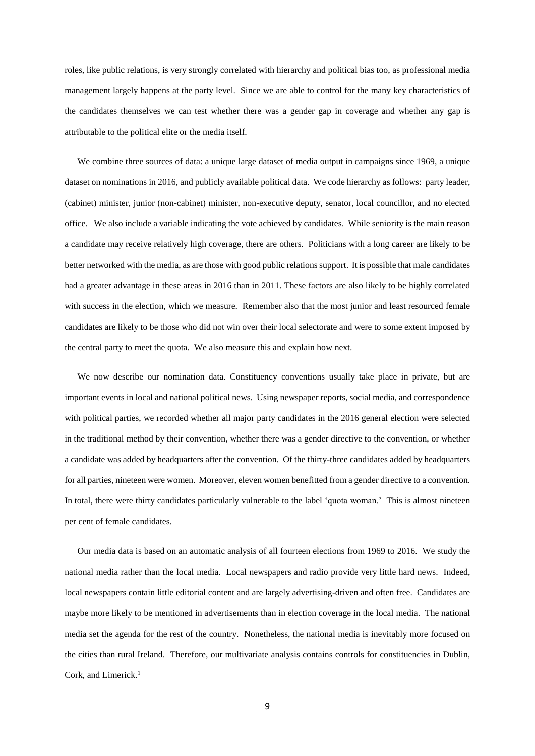roles, like public relations, is very strongly correlated with hierarchy and political bias too, as professional media management largely happens at the party level. Since we are able to control for the many key characteristics of the candidates themselves we can test whether there was a gender gap in coverage and whether any gap is attributable to the political elite or the media itself.

We combine three sources of data: a unique large dataset of media output in campaigns since 1969, a unique dataset on nominations in 2016, and publicly available political data. We code hierarchy as follows: party leader, (cabinet) minister, junior (non-cabinet) minister, non-executive deputy, senator, local councillor, and no elected office. We also include a variable indicating the vote achieved by candidates. While seniority is the main reason a candidate may receive relatively high coverage, there are others. Politicians with a long career are likely to be better networked with the media, as are those with good public relationssupport. It is possible that male candidates had a greater advantage in these areas in 2016 than in 2011. These factors are also likely to be highly correlated with success in the election, which we measure. Remember also that the most junior and least resourced female candidates are likely to be those who did not win over their local selectorate and were to some extent imposed by the central party to meet the quota. We also measure this and explain how next.

We now describe our nomination data. Constituency conventions usually take place in private, but are important events in local and national political news. Using newspaper reports, social media, and correspondence with political parties, we recorded whether all major party candidates in the 2016 general election were selected in the traditional method by their convention, whether there was a gender directive to the convention, or whether a candidate was added by headquarters after the convention. Of the thirty-three candidates added by headquarters for all parties, nineteen were women. Moreover, eleven women benefitted from a gender directive to a convention. In total, there were thirty candidates particularly vulnerable to the label 'quota woman.' This is almost nineteen per cent of female candidates.

Our media data is based on an automatic analysis of all fourteen elections from 1969 to 2016. We study the national media rather than the local media. Local newspapers and radio provide very little hard news. Indeed, local newspapers contain little editorial content and are largely advertising-driven and often free. Candidates are maybe more likely to be mentioned in advertisements than in election coverage in the local media. The national media set the agenda for the rest of the country. Nonetheless, the national media is inevitably more focused on the cities than rural Ireland. Therefore, our multivariate analysis contains controls for constituencies in Dublin, Cork, and Limerick.<sup>1</sup>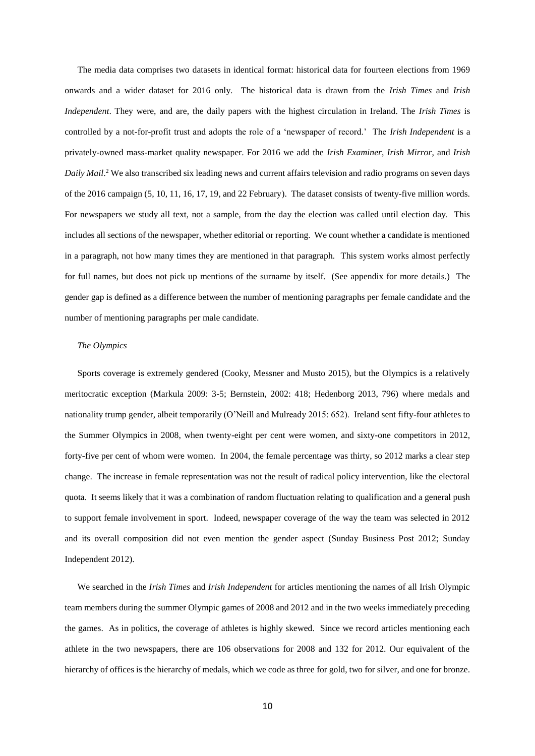The media data comprises two datasets in identical format: historical data for fourteen elections from 1969 onwards and a wider dataset for 2016 only. The historical data is drawn from the *Irish Times* and *Irish Independent*. They were, and are, the daily papers with the highest circulation in Ireland. The *Irish Times* is controlled by a not-for-profit trust and adopts the role of a 'newspaper of record.' The *Irish Independent* is a privately-owned mass-market quality newspaper. For 2016 we add the *Irish Examiner*, *Irish Mirror*, and *Irish Daily Mail*. <sup>2</sup> We also transcribed six leading news and current affairs television and radio programs on seven days of the 2016 campaign (5, 10, 11, 16, 17, 19, and 22 February). The dataset consists of twenty-five million words. For newspapers we study all text, not a sample, from the day the election was called until election day. This includes all sections of the newspaper, whether editorial or reporting. We count whether a candidate is mentioned in a paragraph, not how many times they are mentioned in that paragraph. This system works almost perfectly for full names, but does not pick up mentions of the surname by itself. (See appendix for more details.) The gender gap is defined as a difference between the number of mentioning paragraphs per female candidate and the number of mentioning paragraphs per male candidate.

#### *The Olympics*

Sports coverage is extremely gendered (Cooky, Messner and Musto 2015), but the Olympics is a relatively meritocratic exception (Markula 2009: 3-5; Bernstein, 2002: 418; Hedenborg 2013, 796) where medals and nationality trump gender, albeit temporarily (O'Neill and Mulready 2015: 652). Ireland sent fifty-four athletes to the Summer Olympics in 2008, when twenty-eight per cent were women, and sixty-one competitors in 2012, forty-five per cent of whom were women. In 2004, the female percentage was thirty, so 2012 marks a clear step change. The increase in female representation was not the result of radical policy intervention, like the electoral quota. It seems likely that it was a combination of random fluctuation relating to qualification and a general push to support female involvement in sport. Indeed, newspaper coverage of the way the team was selected in 2012 and its overall composition did not even mention the gender aspect (Sunday Business Post 2012; Sunday Independent 2012).

We searched in the *Irish Times* and *Irish Independent* for articles mentioning the names of all Irish Olympic team members during the summer Olympic games of 2008 and 2012 and in the two weeks immediately preceding the games. As in politics, the coverage of athletes is highly skewed. Since we record articles mentioning each athlete in the two newspapers, there are 106 observations for 2008 and 132 for 2012. Our equivalent of the hierarchy of offices is the hierarchy of medals, which we code as three for gold, two for silver, and one for bronze.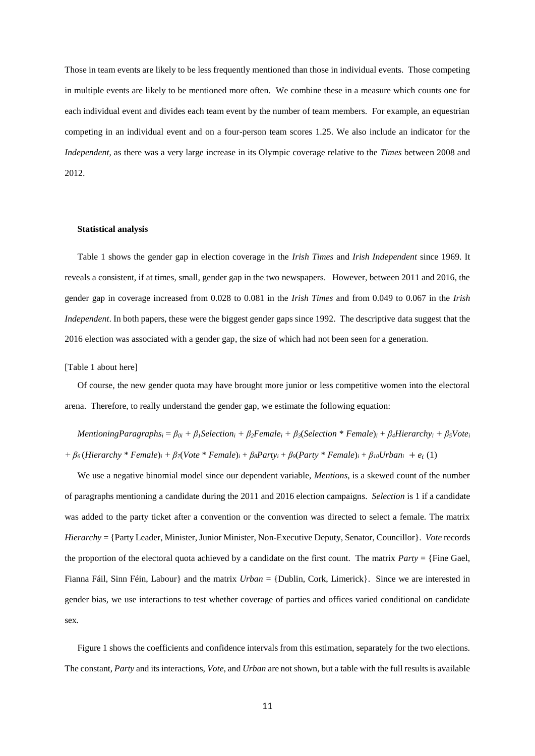Those in team events are likely to be less frequently mentioned than those in individual events. Those competing in multiple events are likely to be mentioned more often. We combine these in a measure which counts one for each individual event and divides each team event by the number of team members. For example, an equestrian competing in an individual event and on a four-person team scores 1.25. We also include an indicator for the *Independent*, as there was a very large increase in its Olympic coverage relative to the *Times* between 2008 and 2012.

#### **Statistical analysis**

Table 1 shows the gender gap in election coverage in the *Irish Times* and *Irish Independent* since 1969. It reveals a consistent, if at times, small, gender gap in the two newspapers. However, between 2011 and 2016, the gender gap in coverage increased from 0.028 to 0.081 in the *Irish Times* and from 0.049 to 0.067 in the *Irish Independent*. In both papers, these were the biggest gender gaps since 1992. The descriptive data suggest that the 2016 election was associated with a gender gap, the size of which had not been seen for a generation.

[Table 1 about here]

Of course, the new gender quota may have brought more junior or less competitive women into the electoral arena. Therefore, to really understand the gender gap, we estimate the following equation:

Mentioning Paragraphs<sub>i</sub> =  $\beta_{0i}$  +  $\beta_1$ Selection<sub>i</sub> +  $\beta_2$ Female<sub>i</sub> +  $\beta_3$ (Selection \* Female)<sub>i</sub> +  $\beta_4$ Hierarchy<sub>i</sub> +  $\beta_5$ Vote<sub>i</sub> +  $\beta_6$ (Hierarchy \* Female)<sub>i</sub> +  $\beta_7$ (Vote \* Female)<sub>i</sub> +  $\beta_8$ Party<sub>i</sub> +  $\beta_9$ (Party \* Female)<sub>i</sub> +  $\beta_{10}$ Urban<sub>i</sub> +  $e_i$  (1)

We use a negative binomial model since our dependent variable, *Mentions*, is a skewed count of the number of paragraphs mentioning a candidate during the 2011 and 2016 election campaigns. *Selection* is 1 if a candidate was added to the party ticket after a convention or the convention was directed to select a female. The matrix *Hierarchy* = {Party Leader, Minister, Junior Minister, Non-Executive Deputy, Senator, Councillor}. *Vote* records the proportion of the electoral quota achieved by a candidate on the first count. The matrix *Party* = {Fine Gael, Fianna Fáil, Sinn Féin, Labour} and the matrix *Urban* = {Dublin, Cork, Limerick}. Since we are interested in gender bias, we use interactions to test whether coverage of parties and offices varied conditional on candidate sex.

Figure 1 shows the coefficients and confidence intervals from this estimation, separately for the two elections. The constant, *Party* and its interactions, *Vote,* and *Urban* are not shown, but a table with the full results is available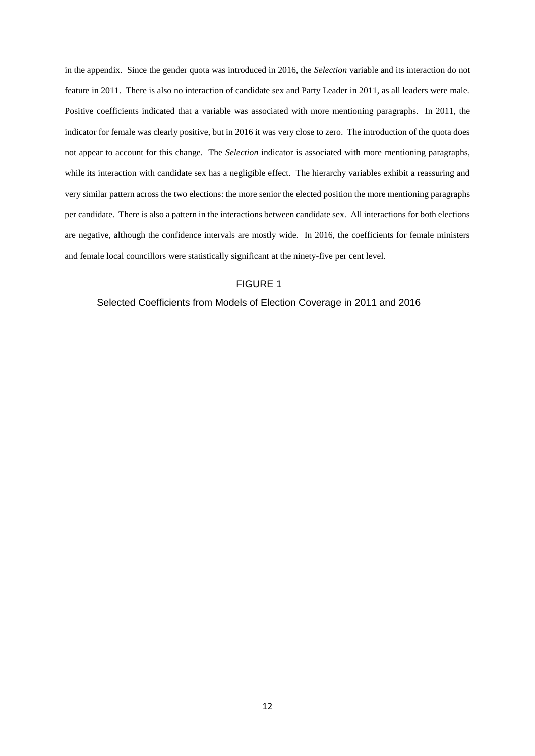in the appendix. Since the gender quota was introduced in 2016, the *Selection* variable and its interaction do not feature in 2011. There is also no interaction of candidate sex and Party Leader in 2011, as all leaders were male. Positive coefficients indicated that a variable was associated with more mentioning paragraphs. In 2011, the indicator for female was clearly positive, but in 2016 it was very close to zero. The introduction of the quota does not appear to account for this change. The *Selection* indicator is associated with more mentioning paragraphs, while its interaction with candidate sex has a negligible effect. The hierarchy variables exhibit a reassuring and very similar pattern across the two elections: the more senior the elected position the more mentioning paragraphs per candidate. There is also a pattern in the interactions between candidate sex. All interactions for both elections are negative, although the confidence intervals are mostly wide. In 2016, the coefficients for female ministers and female local councillors were statistically significant at the ninety-five per cent level.

## FIGURE 1

## Selected Coefficients from Models of Election Coverage in 2011 and 2016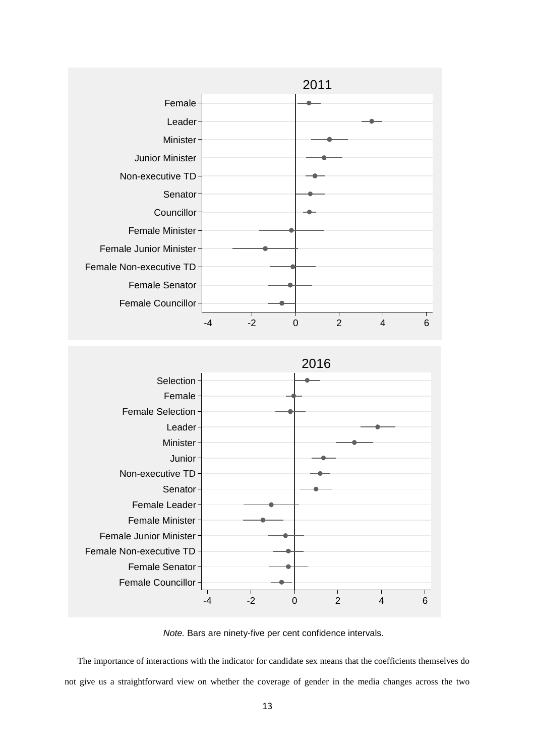



*Note.* Bars are ninety-five per cent confidence intervals.

The importance of interactions with the indicator for candidate sex means that the coefficients themselves do not give us a straightforward view on whether the coverage of gender in the media changes across the two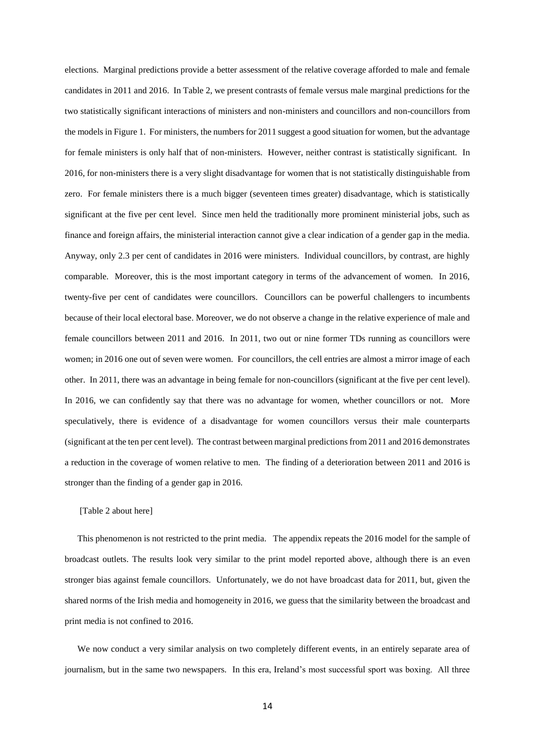elections. Marginal predictions provide a better assessment of the relative coverage afforded to male and female candidates in 2011 and 2016. In Table 2, we present contrasts of female versus male marginal predictions for the two statistically significant interactions of ministers and non-ministers and councillors and non-councillors from the models in Figure 1. For ministers, the numbers for 2011 suggest a good situation for women, but the advantage for female ministers is only half that of non-ministers. However, neither contrast is statistically significant. In 2016, for non-ministers there is a very slight disadvantage for women that is not statistically distinguishable from zero. For female ministers there is a much bigger (seventeen times greater) disadvantage, which is statistically significant at the five per cent level. Since men held the traditionally more prominent ministerial jobs, such as finance and foreign affairs, the ministerial interaction cannot give a clear indication of a gender gap in the media. Anyway, only 2.3 per cent of candidates in 2016 were ministers. Individual councillors, by contrast, are highly comparable. Moreover, this is the most important category in terms of the advancement of women. In 2016, twenty-five per cent of candidates were councillors. Councillors can be powerful challengers to incumbents because of their local electoral base. Moreover, we do not observe a change in the relative experience of male and female councillors between 2011 and 2016. In 2011, two out or nine former TDs running as councillors were women; in 2016 one out of seven were women. For councillors, the cell entries are almost a mirror image of each other. In 2011, there was an advantage in being female for non-councillors (significant at the five per cent level). In 2016, we can confidently say that there was no advantage for women, whether councillors or not. More speculatively, there is evidence of a disadvantage for women councillors versus their male counterparts (significant at the ten per cent level). The contrast between marginal predictions from 2011 and 2016 demonstrates a reduction in the coverage of women relative to men. The finding of a deterioration between 2011 and 2016 is stronger than the finding of a gender gap in 2016.

### [Table 2 about here]

This phenomenon is not restricted to the print media. The appendix repeats the 2016 model for the sample of broadcast outlets. The results look very similar to the print model reported above, although there is an even stronger bias against female councillors. Unfortunately, we do not have broadcast data for 2011, but, given the shared norms of the Irish media and homogeneity in 2016, we guess that the similarity between the broadcast and print media is not confined to 2016.

We now conduct a very similar analysis on two completely different events, in an entirely separate area of journalism, but in the same two newspapers. In this era, Ireland's most successful sport was boxing. All three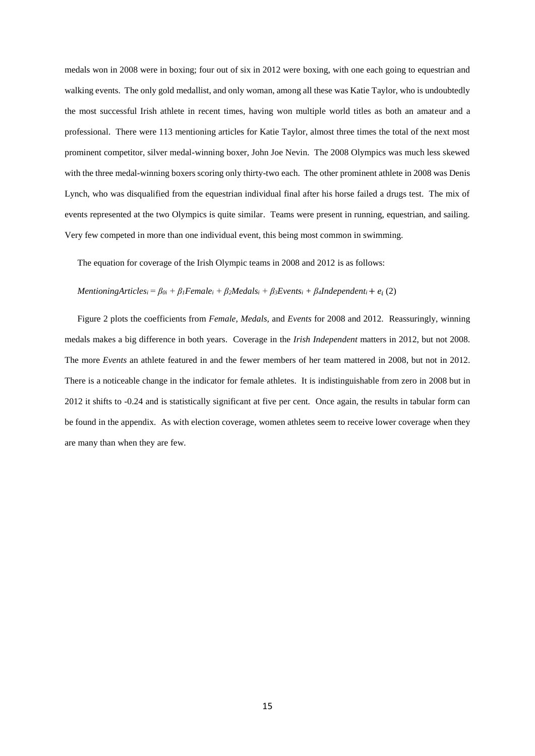medals won in 2008 were in boxing; four out of six in 2012 were boxing, with one each going to equestrian and walking events. The only gold medallist, and only woman, among all these was Katie Taylor, who is undoubtedly the most successful Irish athlete in recent times, having won multiple world titles as both an amateur and a professional. There were 113 mentioning articles for Katie Taylor, almost three times the total of the next most prominent competitor, silver medal-winning boxer, John Joe Nevin. The 2008 Olympics was much less skewed with the three medal-winning boxers scoring only thirty-two each. The other prominent athlete in 2008 was Denis Lynch, who was disqualified from the equestrian individual final after his horse failed a drugs test. The mix of events represented at the two Olympics is quite similar. Teams were present in running, equestrian, and sailing. Very few competed in more than one individual event, this being most common in swimming.

The equation for coverage of the Irish Olympic teams in 2008 and 2012 is as follows:

## *MentioningArticles*<sup>*i*</sup> =  $\beta_{0i}$  +  $\beta_1$ Female<sub>*i*</sub> +  $\beta_2$ Medals<sub>*i*</sub> +  $\beta_3$ Events<sub>*i*</sub> +  $\beta_4$ Independent<sub>*i*</sub> +  $e_i$  (2)

Figure 2 plots the coefficients from *Female, Medals,* and *Events* for 2008 and 2012. Reassuringly, winning medals makes a big difference in both years. Coverage in the *Irish Independent* matters in 2012, but not 2008. The more *Events* an athlete featured in and the fewer members of her team mattered in 2008, but not in 2012. There is a noticeable change in the indicator for female athletes. It is indistinguishable from zero in 2008 but in 2012 it shifts to -0.24 and is statistically significant at five per cent. Once again, the results in tabular form can be found in the appendix. As with election coverage, women athletes seem to receive lower coverage when they are many than when they are few.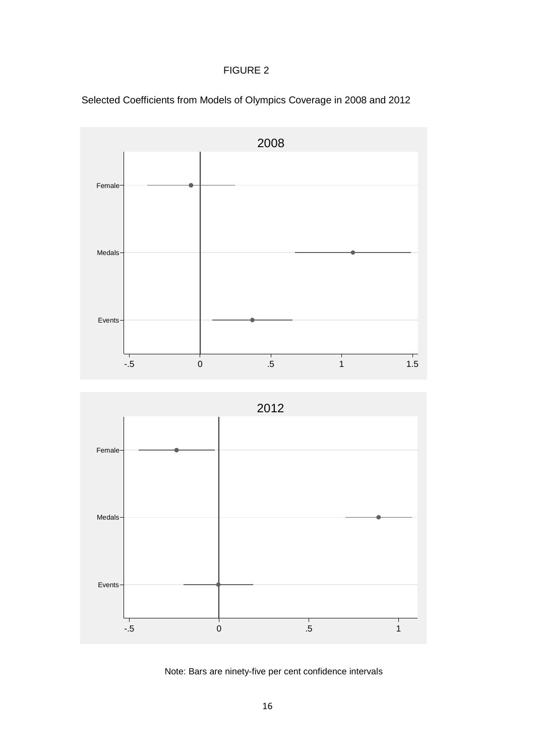# FIGURE 2



Selected Coefficients from Models of Olympics Coverage in 2008 and 2012

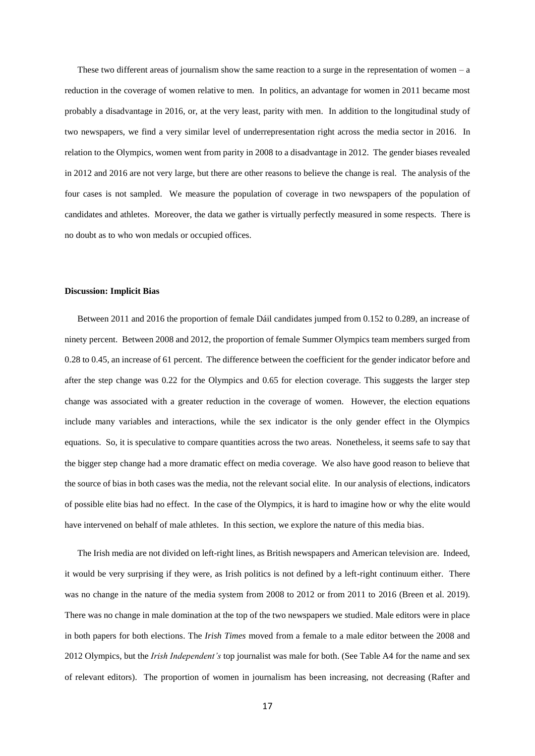These two different areas of journalism show the same reaction to a surge in the representation of women  $-$  a reduction in the coverage of women relative to men. In politics, an advantage for women in 2011 became most probably a disadvantage in 2016, or, at the very least, parity with men. In addition to the longitudinal study of two newspapers, we find a very similar level of underrepresentation right across the media sector in 2016. In relation to the Olympics, women went from parity in 2008 to a disadvantage in 2012. The gender biases revealed in 2012 and 2016 are not very large, but there are other reasons to believe the change is real. The analysis of the four cases is not sampled. We measure the population of coverage in two newspapers of the population of candidates and athletes. Moreover, the data we gather is virtually perfectly measured in some respects. There is no doubt as to who won medals or occupied offices.

#### **Discussion: Implicit Bias**

Between 2011 and 2016 the proportion of female Dáil candidates jumped from 0.152 to 0.289, an increase of ninety percent. Between 2008 and 2012, the proportion of female Summer Olympics team members surged from 0.28 to 0.45, an increase of 61 percent. The difference between the coefficient for the gender indicator before and after the step change was 0.22 for the Olympics and 0.65 for election coverage. This suggests the larger step change was associated with a greater reduction in the coverage of women. However, the election equations include many variables and interactions, while the sex indicator is the only gender effect in the Olympics equations. So, it is speculative to compare quantities across the two areas. Nonetheless, it seems safe to say that the bigger step change had a more dramatic effect on media coverage. We also have good reason to believe that the source of bias in both cases was the media, not the relevant social elite. In our analysis of elections, indicators of possible elite bias had no effect. In the case of the Olympics, it is hard to imagine how or why the elite would have intervened on behalf of male athletes. In this section, we explore the nature of this media bias.

The Irish media are not divided on left-right lines, as British newspapers and American television are. Indeed, it would be very surprising if they were, as Irish politics is not defined by a left-right continuum either. There was no change in the nature of the media system from 2008 to 2012 or from 2011 to 2016 (Breen et al. 2019). There was no change in male domination at the top of the two newspapers we studied. Male editors were in place in both papers for both elections. The *Irish Times* moved from a female to a male editor between the 2008 and 2012 Olympics, but the *Irish Independent's* top journalist was male for both. (See Table A4 for the name and sex of relevant editors). The proportion of women in journalism has been increasing, not decreasing (Rafter and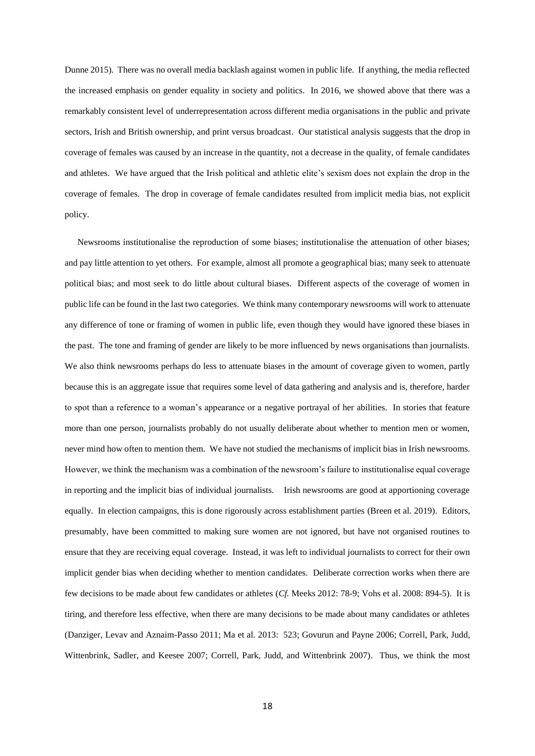Dunne 2015). There was no overall media backlash against women in public life. If anything, the media reflected the increased emphasis on gender equality in society and politics. In 2016, we showed above that there was a remarkably consistent level of underrepresentation across different media organisations in the public and private sectors, Irish and British ownership, and print versus broadcast. Our statistical analysis suggests that the drop in coverage of females was caused by an increase in the quantity, not a decrease in the quality, of female candidates and athletes. We have argued that the Irish political and athletic elite's sexism does not explain the drop in the coverage of females. The drop in coverage of female candidates resulted from implicit media bias, not explicit policy.

Newsrooms institutionalise the reproduction of some biases; institutionalise the attenuation of other biases; and pay little attention to yet others. For example, almost all promote a geographical bias; many seek to attenuate political bias; and most seek to do little about cultural biases. Different aspects of the coverage of women in public life can be found in the last two categories. We think many contemporary newsrooms will work to attenuate any difference of tone or framing of women in public life, even though they would have ignored these biases in the past. The tone and framing of gender are likely to be more influenced by news organisations than journalists. We also think newsrooms perhaps do less to attenuate biases in the amount of coverage given to women, partly because this is an aggregate issue that requires some level of data gathering and analysis and is, therefore, harder to spot than a reference to a woman's appearance or a negative portrayal of her abilities. In stories that feature more than one person, journalists probably do not usually deliberate about whether to mention men or women, never mind how often to mention them. We have not studied the mechanisms of implicit bias in Irish newsrooms. However, we think the mechanism was a combination of the newsroom's failure to institutionalise equal coverage in reporting and the implicit bias of individual journalists. Irish newsrooms are good at apportioning coverage equally. In election campaigns, this is done rigorously across establishment parties (Breen et al. 2019). Editors, presumably, have been committed to making sure women are not ignored, but have not organised routines to ensure that they are receiving equal coverage. Instead, it was left to individual journalists to correct for their own implicit gender bias when deciding whether to mention candidates. Deliberate correction works when there are few decisions to be made about few candidates or athletes (*Cf.* Meeks 2012: 78-9; Vohs et al. 2008: 894-5). It is tiring, and therefore less effective, when there are many decisions to be made about many candidates or athletes (Danziger, Levav and Aznaim-Passo 2011; Ma et al. 2013: 523; Govurun and Payne 2006; Correll, Park, Judd, Wittenbrink, Sadler, and Keesee 2007; Correll, Park, Judd, and Wittenbrink 2007). Thus, we think the most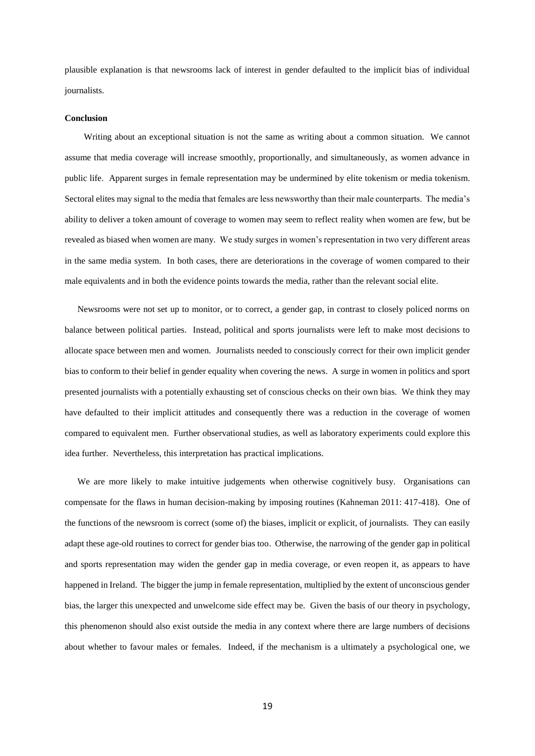plausible explanation is that newsrooms lack of interest in gender defaulted to the implicit bias of individual journalists.

#### **Conclusion**

Writing about an exceptional situation is not the same as writing about a common situation. We cannot assume that media coverage will increase smoothly, proportionally, and simultaneously, as women advance in public life. Apparent surges in female representation may be undermined by elite tokenism or media tokenism. Sectoral elites may signal to the media that females are less newsworthy than their male counterparts. The media's ability to deliver a token amount of coverage to women may seem to reflect reality when women are few, but be revealed as biased when women are many. We study surges in women's representation in two very different areas in the same media system. In both cases, there are deteriorations in the coverage of women compared to their male equivalents and in both the evidence points towards the media, rather than the relevant social elite.

Newsrooms were not set up to monitor, or to correct, a gender gap, in contrast to closely policed norms on balance between political parties. Instead, political and sports journalists were left to make most decisions to allocate space between men and women. Journalists needed to consciously correct for their own implicit gender bias to conform to their belief in gender equality when covering the news. A surge in women in politics and sport presented journalists with a potentially exhausting set of conscious checks on their own bias. We think they may have defaulted to their implicit attitudes and consequently there was a reduction in the coverage of women compared to equivalent men. Further observational studies, as well as laboratory experiments could explore this idea further. Nevertheless, this interpretation has practical implications.

We are more likely to make intuitive judgements when otherwise cognitively busy. Organisations can compensate for the flaws in human decision-making by imposing routines (Kahneman 2011: 417-418). One of the functions of the newsroom is correct (some of) the biases, implicit or explicit, of journalists. They can easily adapt these age-old routines to correct for gender bias too. Otherwise, the narrowing of the gender gap in political and sports representation may widen the gender gap in media coverage, or even reopen it, as appears to have happened in Ireland. The bigger the jump in female representation, multiplied by the extent of unconscious gender bias, the larger this unexpected and unwelcome side effect may be. Given the basis of our theory in psychology, this phenomenon should also exist outside the media in any context where there are large numbers of decisions about whether to favour males or females. Indeed, if the mechanism is a ultimately a psychological one, we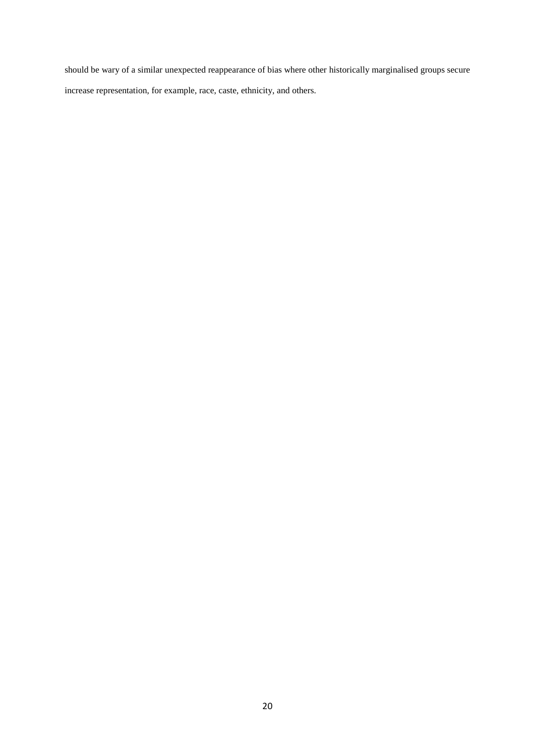should be wary of a similar unexpected reappearance of bias where other historically marginalised groups secure increase representation, for example, race, caste, ethnicity, and others.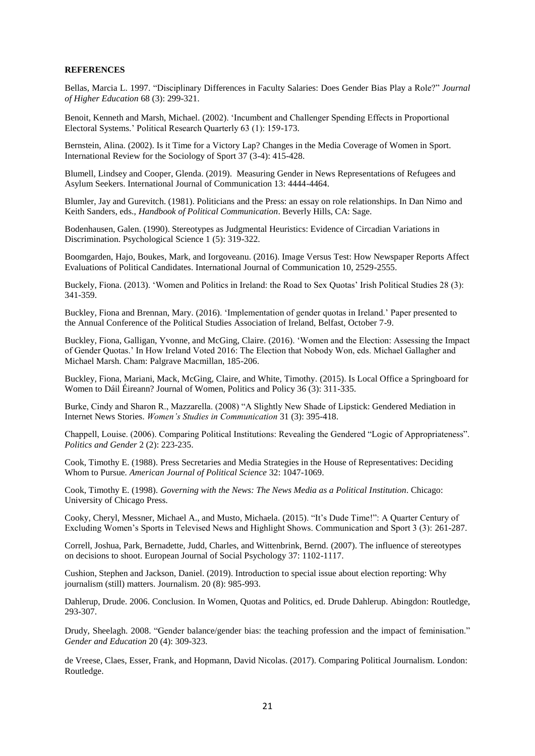#### **REFERENCES**

Bellas, Marcia L. 1997. "Disciplinary Differences in Faculty Salaries: Does Gender Bias Play a Role?" *Journal of Higher Education* 68 (3): 299-321.

Benoit, Kenneth and Marsh, Michael. (2002). 'Incumbent and Challenger Spending Effects in Proportional Electoral Systems.' Political Research Quarterly 63 (1): 159-173.

Bernstein, Alina. (2002). Is it Time for a Victory Lap? Changes in the Media Coverage of Women in Sport. International Review for the Sociology of Sport 37 (3-4): 415-428.

Blumell, Lindsey and Cooper, Glenda. (2019). Measuring Gender in News Representations of Refugees and Asylum Seekers. International Journal of Communication 13: 4444-4464.

Blumler, Jay and Gurevitch. (1981). Politicians and the Press: an essay on role relationships. In Dan Nimo and Keith Sanders, eds., *Handbook of Political Communication*. Beverly Hills, CA: Sage.

Bodenhausen, Galen. (1990). Stereotypes as Judgmental Heuristics: Evidence of Circadian Variations in Discrimination. Psychological Science 1 (5): 319-322.

Boomgarden, Hajo, Boukes, Mark, and Iorgoveanu. (2016). Image Versus Test: How Newspaper Reports Affect Evaluations of Political Candidates. International Journal of Communication 10, 2529-2555.

Buckely, Fiona. (2013). 'Women and Politics in Ireland: the Road to Sex Quotas' Irish Political Studies 28 (3): 341-359.

Buckley, Fiona and Brennan, Mary. (2016). 'Implementation of gender quotas in Ireland.' Paper presented to the Annual Conference of the Political Studies Association of Ireland, Belfast, October 7-9.

Buckley, Fiona, Galligan, Yvonne, and McGing, Claire. (2016). 'Women and the Election: Assessing the Impact of Gender Quotas.' In How Ireland Voted 2016: The Election that Nobody Won, eds. Michael Gallagher and Michael Marsh. Cham: Palgrave Macmillan, 185-206.

Buckley, Fiona, Mariani, Mack, McGing, Claire, and White, Timothy. (2015). Is Local Office a Springboard for Women to Dáil Éireann? Journal of Women, Politics and Policy 36 (3): 311-335.

Burke, Cindy and Sharon R., Mazzarella. (2008) "A Slightly New Shade of Lipstick: Gendered Mediation in Internet News Stories. *Women's Studies in Communication* 31 (3): 395-418.

Chappell, Louise. (2006). Comparing Political Institutions: Revealing the Gendered "Logic of Appropriateness". *Politics and Gender* 2 (2): 223-235.

Cook, Timothy E. (1988). Press Secretaries and Media Strategies in the House of Representatives: Deciding Whom to Pursue*. American Journal of Political Science* 32: 1047-1069.

Cook, Timothy E. (1998). *Governing with the News: The News Media as a Political Institution*. Chicago: University of Chicago Press.

Cooky, Cheryl, Messner, Michael A., and Musto, Michaela. (2015). "It's Dude Time!": A Quarter Century of Excluding Women's Sports in Televised News and Highlight Shows. Communication and Sport 3 (3): 261-287.

Correll, Joshua, Park, Bernadette, Judd, Charles, and Wittenbrink, Bernd. (2007). The influence of stereotypes on decisions to shoot. European Journal of Social Psychology 37: 1102-1117.

Cushion, Stephen and Jackson, Daniel. (2019). Introduction to special issue about election reporting: Why journalism (still) matters. Journalism. 20 (8): 985-993.

Dahlerup, Drude. 2006. Conclusion. In Women, Quotas and Politics, ed. Drude Dahlerup. Abingdon: Routledge, 293-307.

Drudy, Sheelagh. 2008. "Gender balance/gender bias: the teaching profession and the impact of feminisation." *Gender and Education* 20 (4): 309-323.

de Vreese, Claes, Esser, Frank, and Hopmann, David Nicolas. (2017). Comparing Political Journalism. London: Routledge.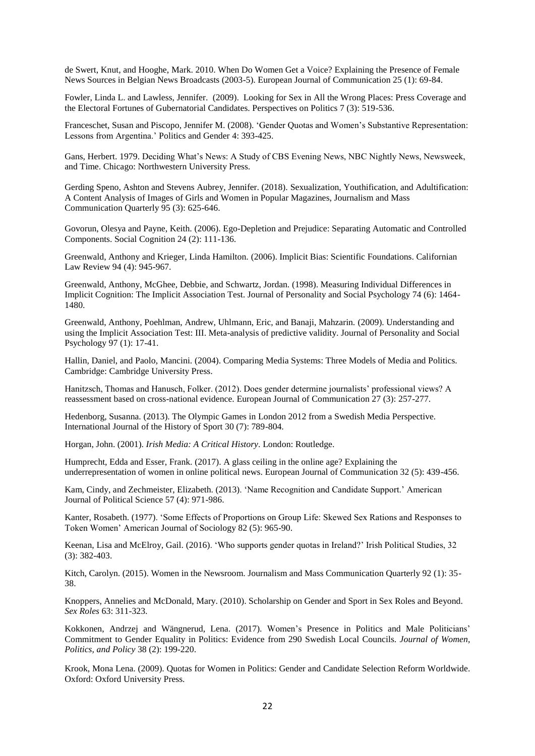de Swert, Knut, and Hooghe, Mark. 2010. When Do Women Get a Voice? Explaining the Presence of Female News Sources in Belgian News Broadcasts (2003-5). European Journal of Communication 25 (1): 69-84.

Fowler, Linda L. and Lawless, Jennifer. (2009). Looking for Sex in All the Wrong Places: Press Coverage and the Electoral Fortunes of Gubernatorial Candidates. Perspectives on Politics 7 (3): 519-536.

Franceschet, Susan and Piscopo, Jennifer M. (2008). 'Gender Quotas and Women's Substantive Representation: Lessons from Argentina.' Politics and Gender 4: 393-425.

Gans, Herbert. 1979. Deciding What's News: A Study of CBS Evening News, NBC Nightly News, Newsweek, and Time. Chicago: Northwestern University Press.

Gerding Speno, Ashton and Stevens Aubrey, Jennifer. (2018). Sexualization, Youthification, and Adultification: A Content Analysis of Images of Girls and Women in Popular Magazines, Journalism and Mass Communication Quarterly 95 (3): 625-646.

Govorun, Olesya and Payne, Keith. (2006). Ego-Depletion and Prejudice: Separating Automatic and Controlled Components. Social Cognition 24 (2): 111-136.

Greenwald, Anthony and Krieger, Linda Hamilton. (2006). Implicit Bias: Scientific Foundations. Californian Law Review 94 (4): 945-967.

Greenwald, Anthony, McGhee, Debbie, and Schwartz, Jordan. (1998). Measuring Individual Differences in Implicit Cognition: The Implicit Association Test. Journal of Personality and Social Psychology 74 (6): 1464- 1480.

Greenwald, Anthony, Poehlman, Andrew, Uhlmann, Eric, and Banaji, Mahzarin. (2009). Understanding and using the Implicit Association Test: III. Meta-analysis of predictive validity. Journal of Personality and Social Psychology 97 (1): 17-41.

Hallin, Daniel, and Paolo, Mancini. (2004). Comparing Media Systems: Three Models of Media and Politics. Cambridge: Cambridge University Press.

Hanitzsch, Thomas and Hanusch, Folker. (2012). Does gender determine journalists' professional views? A reassessment based on cross-national evidence. European Journal of Communication 27 (3): 257-277.

Hedenborg, Susanna. (2013). The Olympic Games in London 2012 from a Swedish Media Perspective. International Journal of the History of Sport 30 (7): 789-804.

Horgan, John. (2001). *Irish Media: A Critical History*. London: Routledge.

Humprecht, Edda and Esser, Frank. (2017). A glass ceiling in the online age? Explaining the underrepresentation of women in online political news. European Journal of Communication 32 (5): 439-456.

Kam, Cindy, and Zechmeister, Elizabeth. (2013). 'Name Recognition and Candidate Support.' American Journal of Political Science 57 (4): 971-986.

Kanter, Rosabeth. (1977). 'Some Effects of Proportions on Group Life: Skewed Sex Rations and Responses to Token Women' American Journal of Sociology 82 (5): 965-90.

Keenan, Lisa and McElroy, Gail. (2016). 'Who supports gender quotas in Ireland?' Irish Political Studies, 32 (3): 382-403.

Kitch, Carolyn. (2015). Women in the Newsroom. Journalism and Mass Communication Quarterly 92 (1): 35- 38.

Knoppers, Annelies and McDonald, Mary. (2010). Scholarship on Gender and Sport in Sex Roles and Beyond. *Sex Roles* 63: 311-323.

Kokkonen, Andrzej and Wängnerud, Lena. (2017). Women's Presence in Politics and Male Politicians' Commitment to Gender Equality in Politics: Evidence from 290 Swedish Local Councils. *Journal of Women, Politics, and Policy* 38 (2): 199-220.

Krook, Mona Lena. (2009). Quotas for Women in Politics: Gender and Candidate Selection Reform Worldwide. Oxford: Oxford University Press.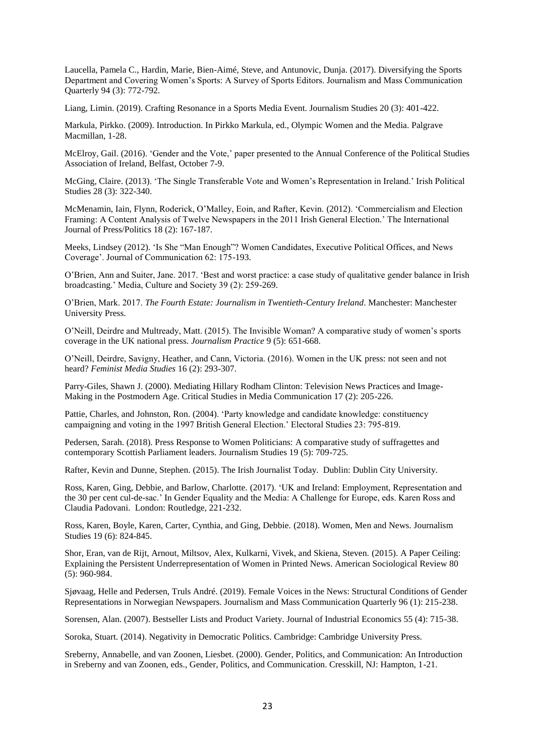Laucella, Pamela C., Hardin, Marie, Bien-Aimé, Steve, and Antunovic, Dunja. (2017). Diversifying the Sports Department and Covering Women's Sports: A Survey of Sports Editors. Journalism and Mass Communication Quarterly 94 (3): 772-792.

Liang, Limin. (2019). Crafting Resonance in a Sports Media Event. Journalism Studies 20 (3): 401-422.

Markula, Pirkko. (2009). Introduction. In Pirkko Markula, ed., Olympic Women and the Media. Palgrave Macmillan, 1-28.

McElroy, Gail. (2016). 'Gender and the Vote,' paper presented to the Annual Conference of the Political Studies Association of Ireland, Belfast, October 7-9.

McGing, Claire. (2013). 'The Single Transferable Vote and Women's Representation in Ireland.' Irish Political Studies 28 (3): 322-340.

McMenamin, Iain, Flynn, Roderick, O'Malley, Eoin, and Rafter, Kevin. (2012). 'Commercialism and Election Framing: A Content Analysis of Twelve Newspapers in the 2011 Irish General Election.' The International Journal of Press/Politics 18 (2): 167-187.

Meeks, Lindsey (2012). 'Is She "Man Enough"? Women Candidates, Executive Political Offices, and News Coverage'. Journal of Communication 62: 175-193.

O'Brien, Ann and Suiter, Jane. 2017. 'Best and worst practice: a case study of qualitative gender balance in Irish broadcasting.' Media, Culture and Society 39 (2): 259-269.

O'Brien, Mark. 2017. *The Fourth Estate: Journalism in Twentieth-Century Ireland*. Manchester: Manchester University Press.

O'Neill, Deirdre and Multready, Matt. (2015). The Invisible Woman? A comparative study of women's sports coverage in the UK national press. *Journalism Practice* 9 (5): 651-668.

O'Neill, Deirdre, Savigny, Heather, and Cann, Victoria. (2016). Women in the UK press: not seen and not heard? *Feminist Media Studies* 16 (2): 293-307.

Parry-Giles, Shawn J. (2000). Mediating Hillary Rodham Clinton: Television News Practices and Image-Making in the Postmodern Age. Critical Studies in Media Communication 17 (2): 205-226.

Pattie, Charles, and Johnston, Ron. (2004). 'Party knowledge and candidate knowledge: constituency campaigning and voting in the 1997 British General Election.' Electoral Studies 23: 795-819.

Pedersen, Sarah. (2018). Press Response to Women Politicians: A comparative study of suffragettes and contemporary Scottish Parliament leaders. Journalism Studies 19 (5): 709-725.

Rafter, Kevin and Dunne, Stephen. (2015). The Irish Journalist Today. Dublin: Dublin City University.

Ross, Karen, Ging, Debbie, and Barlow, Charlotte. (2017). 'UK and Ireland: Employment, Representation and the 30 per cent cul-de-sac.' In Gender Equality and the Media: A Challenge for Europe, eds. Karen Ross and Claudia Padovani. London: Routledge, 221-232.

Ross, Karen, Boyle, Karen, Carter, Cynthia, and Ging, Debbie. (2018). Women, Men and News. Journalism Studies 19 (6): 824-845.

Shor, Eran, van de Rijt, Arnout, Miltsov, Alex, Kulkarni, Vivek, and Skiena, Steven. (2015). A Paper Ceiling: Explaining the Persistent Underrepresentation of Women in Printed News. American Sociological Review 80 (5): 960-984.

Sjøvaag, Helle and Pedersen, Truls André. (2019). Female Voices in the News: Structural Conditions of Gender Representations in Norwegian Newspapers. Journalism and Mass Communication Quarterly 96 (1): 215-238.

Sorensen, Alan. (2007). Bestseller Lists and Product Variety. Journal of Industrial Economics 55 (4): 715-38.

Soroka, Stuart. (2014). Negativity in Democratic Politics. Cambridge: Cambridge University Press.

Sreberny, Annabelle, and van Zoonen, Liesbet. (2000). Gender, Politics, and Communication: An Introduction in Sreberny and van Zoonen, eds., Gender, Politics, and Communication. Cresskill, NJ: Hampton, 1-21.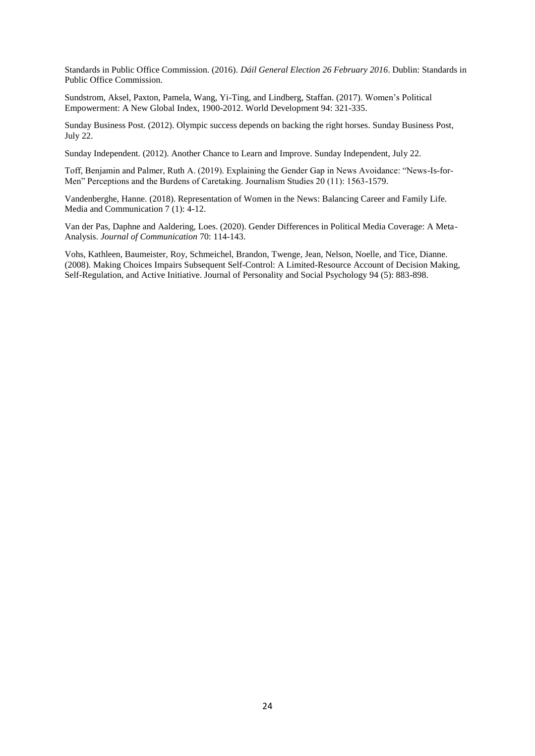Standards in Public Office Commission. (2016). *Dáil General Election 26 February 2016*. Dublin: Standards in Public Office Commission.

Sundstrom, Aksel, Paxton, Pamela, Wang, Yi-Ting, and Lindberg, Staffan. (2017). Women's Political Empowerment: A New Global Index, 1900-2012. World Development 94: 321-335.

Sunday Business Post. (2012). Olympic success depends on backing the right horses. Sunday Business Post, July 22.

Sunday Independent. (2012). Another Chance to Learn and Improve. Sunday Independent, July 22.

Toff, Benjamin and Palmer, Ruth A. (2019). Explaining the Gender Gap in News Avoidance: "News-Is-for-Men" Perceptions and the Burdens of Caretaking. Journalism Studies 20 (11): 1563-1579.

Vandenberghe, Hanne. (2018). Representation of Women in the News: Balancing Career and Family Life. Media and Communication 7 (1): 4-12.

Van der Pas, Daphne and Aaldering, Loes. (2020). Gender Differences in Political Media Coverage: A Meta-Analysis. *Journal of Communication* 70: 114-143.

Vohs, Kathleen, Baumeister, Roy, Schmeichel, Brandon, Twenge, Jean, Nelson, Noelle, and Tice, Dianne. (2008). Making Choices Impairs Subsequent Self-Control: A Limited-Resource Account of Decision Making, Self-Regulation, and Active Initiative. Journal of Personality and Social Psychology 94 (5): 883-898.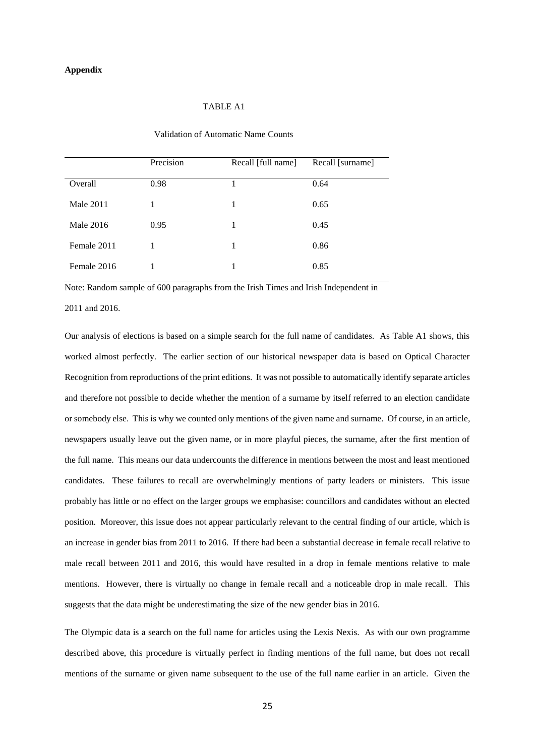## Validation of Automatic Name Counts

|                  | Precision | Recall [full name] | Recall [surname] |
|------------------|-----------|--------------------|------------------|
| Overall          | 0.98      |                    | 0.64             |
| <b>Male 2011</b> | 1         | 1                  | 0.65             |
| Male 2016        | 0.95      | 1                  | 0.45             |
| Female 2011      |           | 1                  | 0.86             |
| Female 2016      |           |                    | 0.85             |

Note: Random sample of 600 paragraphs from the Irish Times and Irish Independent in

2011 and 2016.

Our analysis of elections is based on a simple search for the full name of candidates. As Table A1 shows, this worked almost perfectly. The earlier section of our historical newspaper data is based on Optical Character Recognition from reproductions of the print editions. It was not possible to automatically identify separate articles and therefore not possible to decide whether the mention of a surname by itself referred to an election candidate or somebody else. This is why we counted only mentions of the given name and surname. Of course, in an article, newspapers usually leave out the given name, or in more playful pieces, the surname, after the first mention of the full name. This means our data undercounts the difference in mentions between the most and least mentioned candidates. These failures to recall are overwhelmingly mentions of party leaders or ministers. This issue probably has little or no effect on the larger groups we emphasise: councillors and candidates without an elected position. Moreover, this issue does not appear particularly relevant to the central finding of our article, which is an increase in gender bias from 2011 to 2016. If there had been a substantial decrease in female recall relative to male recall between 2011 and 2016, this would have resulted in a drop in female mentions relative to male mentions. However, there is virtually no change in female recall and a noticeable drop in male recall. This suggests that the data might be underestimating the size of the new gender bias in 2016.

The Olympic data is a search on the full name for articles using the Lexis Nexis. As with our own programme described above, this procedure is virtually perfect in finding mentions of the full name, but does not recall mentions of the surname or given name subsequent to the use of the full name earlier in an article. Given the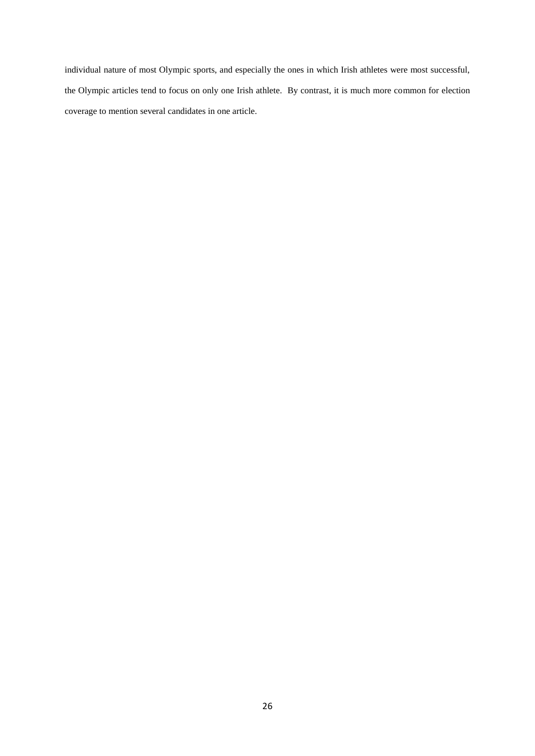individual nature of most Olympic sports, and especially the ones in which Irish athletes were most successful, the Olympic articles tend to focus on only one Irish athlete. By contrast, it is much more common for election coverage to mention several candidates in one article.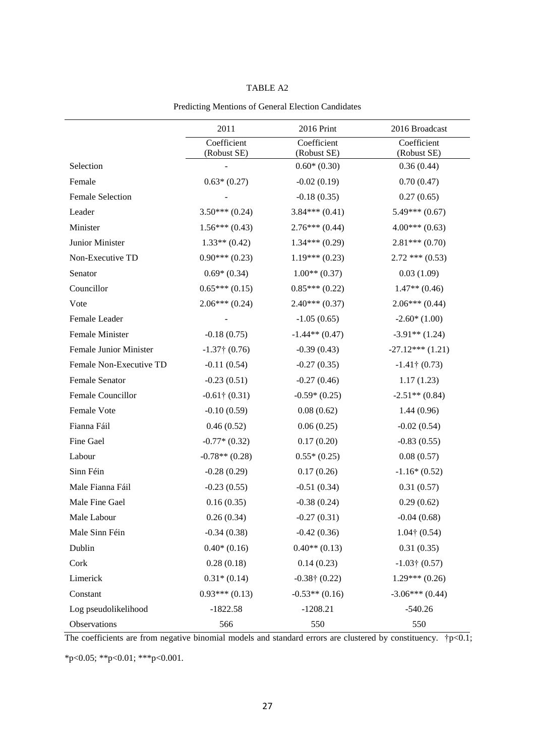|                         | 2011                       | 2016 Print                 | 2016 Broadcast             |
|-------------------------|----------------------------|----------------------------|----------------------------|
|                         | Coefficient<br>(Robust SE) | Coefficient<br>(Robust SE) | Coefficient<br>(Robust SE) |
| Selection               |                            | $0.60*(0.30)$              | 0.36(0.44)                 |
| Female                  | $0.63*(0.27)$              | $-0.02(0.19)$              | 0.70(0.47)                 |
| <b>Female Selection</b> |                            | $-0.18(0.35)$              | 0.27(0.65)                 |
| Leader                  | $3.50***(0.24)$            | $3.84***(0.41)$            | $5.49***(0.67)$            |
| Minister                | $1.56***(0.43)$            | $2.76***(0.44)$            | $4.00***(0.63)$            |
| Junior Minister         | $1.33**$ (0.42)            | $1.34***(0.29)$            | $2.81***(0.70)$            |
| Non-Executive TD        | $0.90***(0.23)$            | $1.19***(0.23)$            | $2.72$ *** $(0.53)$        |
| Senator                 | $0.69*(0.34)$              | $1.00**$ (0.37)            | 0.03(1.09)                 |
| Councillor              | $0.65***(0.15)$            | $0.85***(0.22)$            | $1.47**$ (0.46)            |
| Vote                    | $2.06***(0.24)$            | $2.40***(0.37)$            | $2.06***(0.44)$            |
| Female Leader           |                            | $-1.05(0.65)$              | $-2.60*(1.00)$             |
| Female Minister         | $-0.18(0.75)$              | $-1.44**(0.47)$            | $-3.91**$ (1.24)           |
| Female Junior Minister  | $-1.37$ † (0.76)           | $-0.39(0.43)$              | $-27.12***(1.21)$          |
| Female Non-Executive TD | $-0.11(0.54)$              | $-0.27(0.35)$              | $-1.41$ † (0.73)           |
| Female Senator          | $-0.23(0.51)$              | $-0.27(0.46)$              | 1.17(1.23)                 |
| Female Councillor       | $-0.61$ † $(0.31)$         | $-0.59*(0.25)$             | $-2.51**$ (0.84)           |
| Female Vote             | $-0.10(0.59)$              | 0.08(0.62)                 | 1.44(0.96)                 |
| Fianna Fáil             | 0.46(0.52)                 | 0.06(0.25)                 | $-0.02(0.54)$              |
| Fine Gael               | $-0.77*(0.32)$             | 0.17(0.20)                 | $-0.83(0.55)$              |
| Labour                  | $-0.78**$ (0.28)           | $0.55*(0.25)$              | 0.08(0.57)                 |
| Sinn Féin               | $-0.28(0.29)$              | 0.17(0.26)                 | $-1.16*(0.52)$             |
| Male Fianna Fáil        | $-0.23(0.55)$              | $-0.51(0.34)$              | 0.31(0.57)                 |
| Male Fine Gael          | 0.16(0.35)                 | $-0.38(0.24)$              | 0.29(0.62)                 |
| Male Labour             | 0.26(0.34)                 | $-0.27(0.31)$              | $-0.04(0.68)$              |
| Male Sinn Féin          | $-0.34(0.38)$              | $-0.42(0.36)$              | $1.04 \dagger (0.54)$      |
| Dublin                  | $0.40*(0.16)$              | $0.40**$ (0.13)            | 0.31(0.35)                 |
| Cork                    | 0.28(0.18)                 | 0.14(0.23)                 | $-1.03$ † $(0.57)$         |
| Limerick                | $0.31*(0.14)$              | $-0.38$ † $(0.22)$         | $1.29***(0.26)$            |
| Constant                | $0.93***(0.13)$            | $-0.53**$ (0.16)           | $-3.06***(0.44)$           |
| Log pseudolikelihood    | $-1822.58$                 | $-1208.21$                 | $-540.26$                  |
| Observations            | 566                        | 550                        | 550                        |

## Predicting Mentions of General Election Candidates

The coefficients are from negative binomial models and standard errors are clustered by constituency.  $\frac{1}{|p|}$  + p $\leq$  0.1; \*p<0.05; \*\*p<0.01; \*\*\*p<0.001.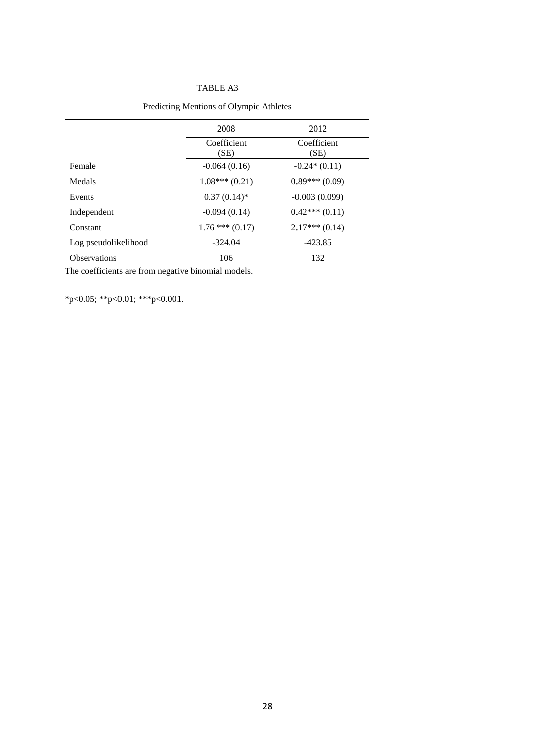|                      | 2008                | 2012                |  |
|----------------------|---------------------|---------------------|--|
|                      | Coefficient<br>(SE) | Coefficient<br>(SE) |  |
| Female               | $-0.064(0.16)$      | $-0.24*(0.11)$      |  |
| Medals               | $1.08***(0.21)$     | $0.89***(0.09)$     |  |
| Events               | $0.37(0.14)$ *      | $-0.003(0.099)$     |  |
| Independent          | $-0.094(0.14)$      | $0.42***(0.11)$     |  |
| Constant             | $1.76$ *** $(0.17)$ | $2.17***(0.14)$     |  |
| Log pseudolikelihood | $-324.04$           | $-423.85$           |  |
| <b>Observations</b>  | 106                 | 132                 |  |

# Predicting Mentions of Olympic Athletes

The coefficients are from negative binomial models.

\*p<0.05; \*\*p<0.01; \*\*\*p<0.001.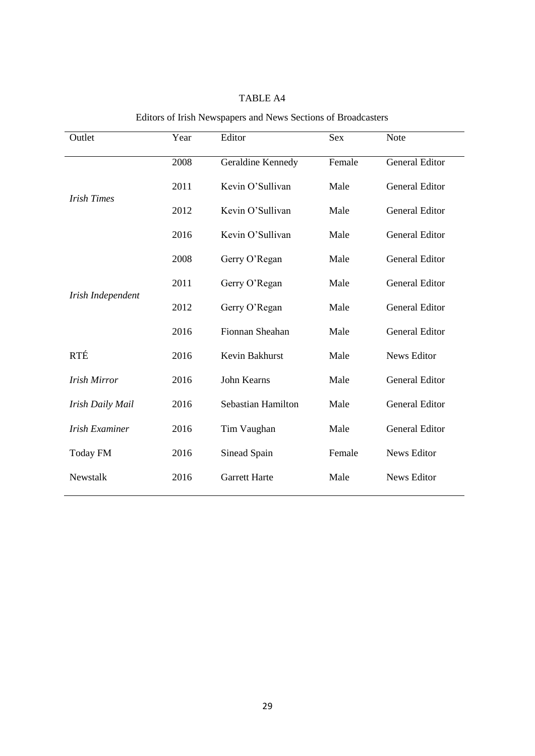| Outlet                | Year | Editor               | <b>Sex</b> | <b>Note</b>           |  |
|-----------------------|------|----------------------|------------|-----------------------|--|
|                       | 2008 | Geraldine Kennedy    | Female     | <b>General Editor</b> |  |
| <b>Irish Times</b>    | 2011 | Kevin O'Sullivan     | Male       | <b>General Editor</b> |  |
|                       | 2012 | Kevin O'Sullivan     | Male       | <b>General Editor</b> |  |
|                       | 2016 | Kevin O'Sullivan     | Male       | <b>General Editor</b> |  |
|                       | 2008 | Gerry O'Regan        | Male       | <b>General Editor</b> |  |
| Irish Independent     | 2011 | Gerry O'Regan        | Male       | <b>General Editor</b> |  |
|                       | 2012 | Gerry O'Regan        | Male       | <b>General Editor</b> |  |
|                       | 2016 | Fionnan Sheahan      | Male       | <b>General Editor</b> |  |
| <b>RTÉ</b>            | 2016 | Kevin Bakhurst       | Male       | <b>News Editor</b>    |  |
| <b>Irish Mirror</b>   | 2016 | John Kearns          | Male       | <b>General Editor</b> |  |
| Irish Daily Mail      | 2016 | Sebastian Hamilton   | Male       | <b>General Editor</b> |  |
| <b>Irish Examiner</b> | 2016 | Tim Vaughan          | Male       | <b>General Editor</b> |  |
| <b>Today FM</b>       | 2016 | Sinead Spain         | Female     | News Editor           |  |
| Newstalk              | 2016 | <b>Garrett Harte</b> | Male       | <b>News Editor</b>    |  |

# Editors of Irish Newspapers and News Sections of Broadcasters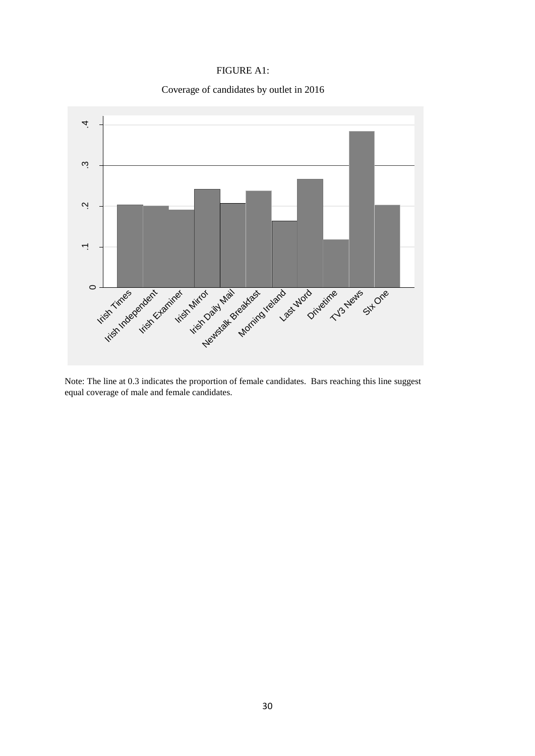# FIGURE A1:

Coverage of candidates by outlet in 2016



Note: The line at 0.3 indicates the proportion of female candidates. Bars reaching this line suggest equal coverage of male and female candidates.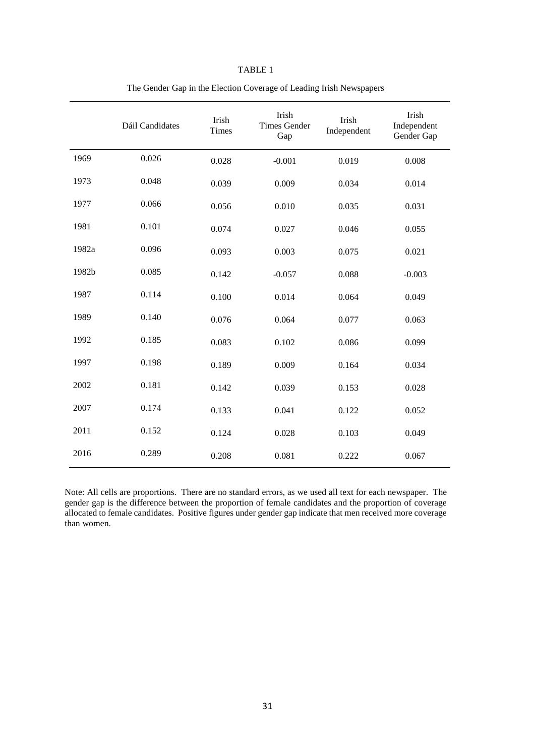| וחר |
|-----|
|-----|

|       | Dáil Candidates | Irish<br><b>Times</b> | Irish<br><b>Times Gender</b><br>Gap | Irish<br>Independent | Irish<br>Independent<br>Gender Gap |
|-------|-----------------|-----------------------|-------------------------------------|----------------------|------------------------------------|
| 1969  | 0.026           | 0.028                 | $-0.001$                            | 0.019                | 0.008                              |
| 1973  | 0.048           | 0.039                 | 0.009                               | 0.034                | 0.014                              |
| 1977  | 0.066           | 0.056                 | 0.010                               | 0.035                | 0.031                              |
| 1981  | 0.101           | 0.074                 | 0.027                               | 0.046                | 0.055                              |
| 1982a | 0.096           | 0.093                 | 0.003                               | 0.075                | 0.021                              |
| 1982b | 0.085           | 0.142                 | $-0.057$                            | 0.088                | $-0.003$                           |
| 1987  | 0.114           | 0.100                 | 0.014                               | 0.064                | 0.049                              |
| 1989  | 0.140           | 0.076                 | 0.064                               | 0.077                | 0.063                              |
| 1992  | 0.185           | 0.083                 | 0.102                               | 0.086                | 0.099                              |
| 1997  | 0.198           | 0.189                 | 0.009                               | 0.164                | 0.034                              |
| 2002  | 0.181           | 0.142                 | 0.039                               | 0.153                | 0.028                              |
| 2007  | 0.174           | 0.133                 | 0.041                               | 0.122                | 0.052                              |
| 2011  | 0.152           | 0.124                 | 0.028                               | 0.103                | 0.049                              |
| 2016  | 0.289           | 0.208                 | 0.081                               | 0.222                | 0.067                              |

The Gender Gap in the Election Coverage of Leading Irish Newspapers

Note: All cells are proportions. There are no standard errors, as we used all text for each newspaper. The gender gap is the difference between the proportion of female candidates and the proportion of coverage allocated to female candidates. Positive figures under gender gap indicate that men received more coverage than women.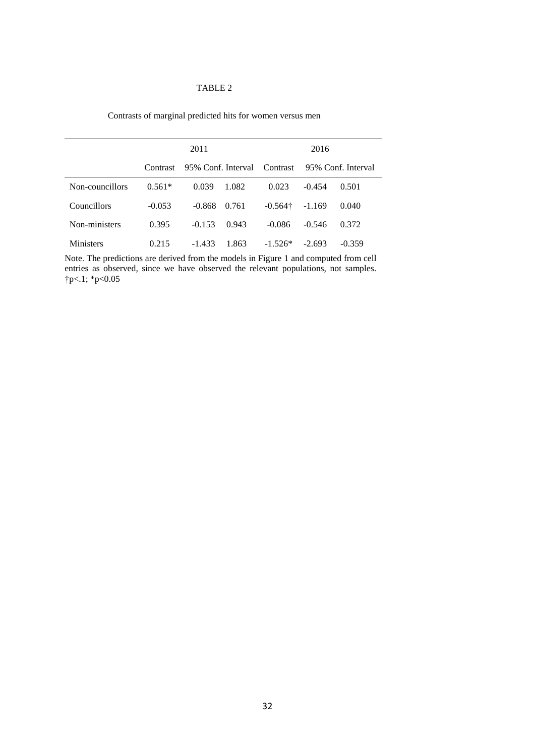## TABLE 2

|                 | 2011     |                    |       | 2016            |                    |          |
|-----------------|----------|--------------------|-------|-----------------|--------------------|----------|
|                 | Contrast | 95% Conf. Interval |       | Contrast        | 95% Conf. Interval |          |
| Non-councillors | $0.561*$ | 0.039              | 1.082 | 0.023           | $-0.454$           | 0.501    |
| Councillors     | $-0.053$ | $-0.868$           | 0.761 | $-0.564\dagger$ | $-1.169$           | 0.040    |
| Non-ministers   | 0.395    | $-0.153$           | 0.943 | $-0.086$        | $-0.546$           | 0.372    |
| Ministers       | 0.215    | $-1.433$           | 1.863 | $-1.526*$       | $-2.693$           | $-0.359$ |

Contrasts of marginal predicted hits for women versus men

Note. The predictions are derived from the models in Figure 1 and computed from cell entries as observed, since we have observed the relevant populations, not samples. †p<.1; \*p<0.05